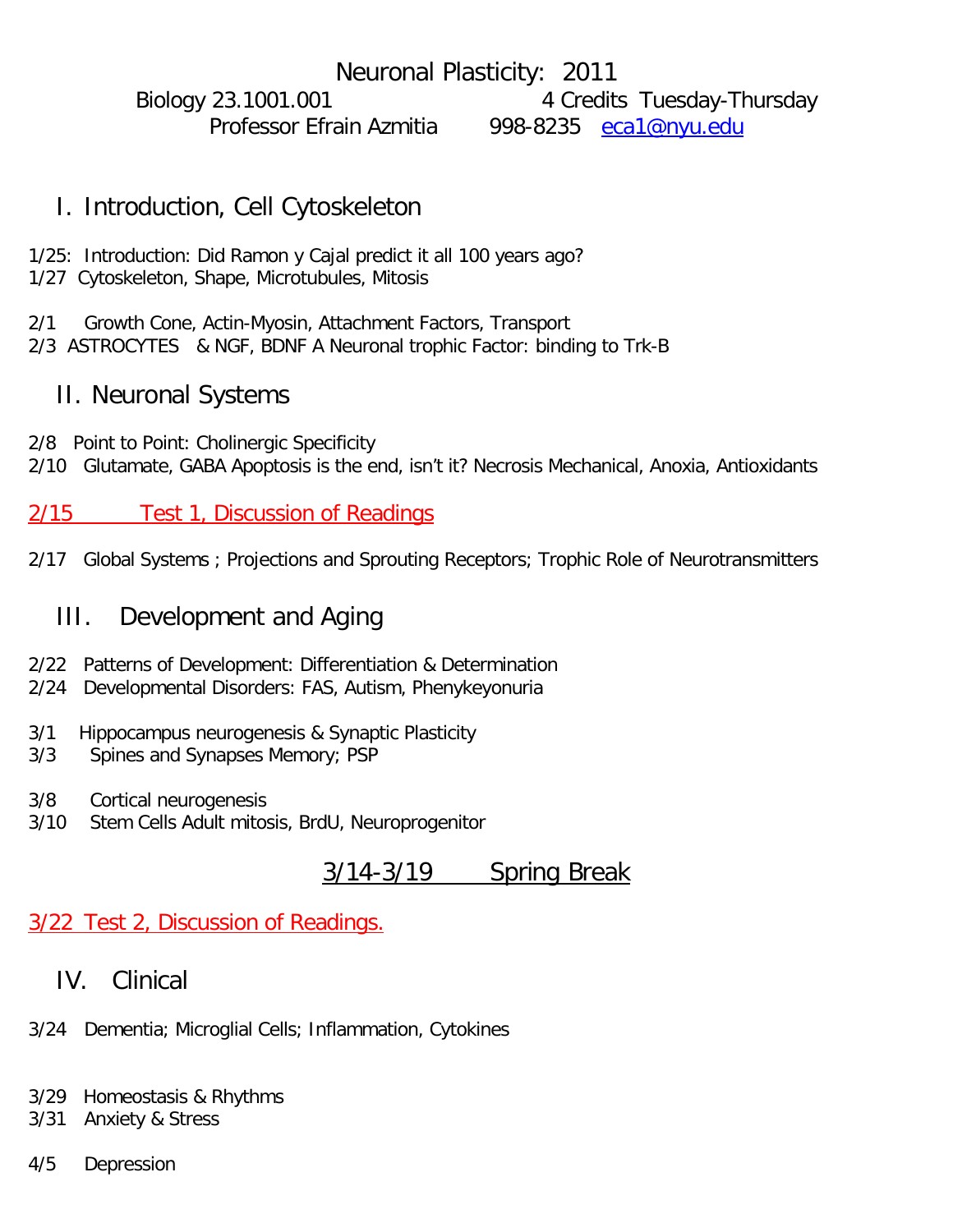Neuronal Plasticity: 2011 Biology 23.1001.001 4 Credits Tuesday-Thursday Professor Efrain Azmitia 998-8235 [eca1@nyu.edu](mailto:eca1@nyu.edu)

#### I. Introduction, Cell Cytoskeleton

1/25: Introduction: Did Ramon y Cajal predict it all 100 years ago? 1/27 Cytoskeleton, Shape, Microtubules, Mitosis

2/1 Growth Cone, Actin-Myosin, Attachment Factors, Transport 2/3 ASTROCYTES & NGF, BDNF A Neuronal trophic Factor: binding to Trk-B

#### II. Neuronal Systems

2/8 Point to Point: Cholinergic Specificity 2/10 Glutamate, GABA Apoptosis is the end, isn't it? Necrosis Mechanical, Anoxia, Antioxidants

2/15 Test 1, Discussion of Readings

2/17 Global Systems ; Projections and Sprouting Receptors; Trophic Role of Neurotransmitters

## III. Development and Aging

- 2/22 Patterns of Development: Differentiation & Determination
- 2/24 Developmental Disorders: FAS, Autism, Phenykeyonuria
- 3/1 Hippocampus neurogenesis & Synaptic Plasticity
- 3/3 Spines and Synapses Memory; PSP
- 3/8 Cortical neurogenesis
- 3/10 Stem Cells Adult mitosis, BrdU, Neuroprogenitor

## 3/14-3/19 Spring Break

#### 3/22 Test 2, Discussion of Readings.

## IV. Clinical

- 3/24 Dementia; Microglial Cells; Inflammation, Cytokines
- 3/29 Homeostasis & Rhythms
- 3/31 Anxiety & Stress
- 4/5 Depression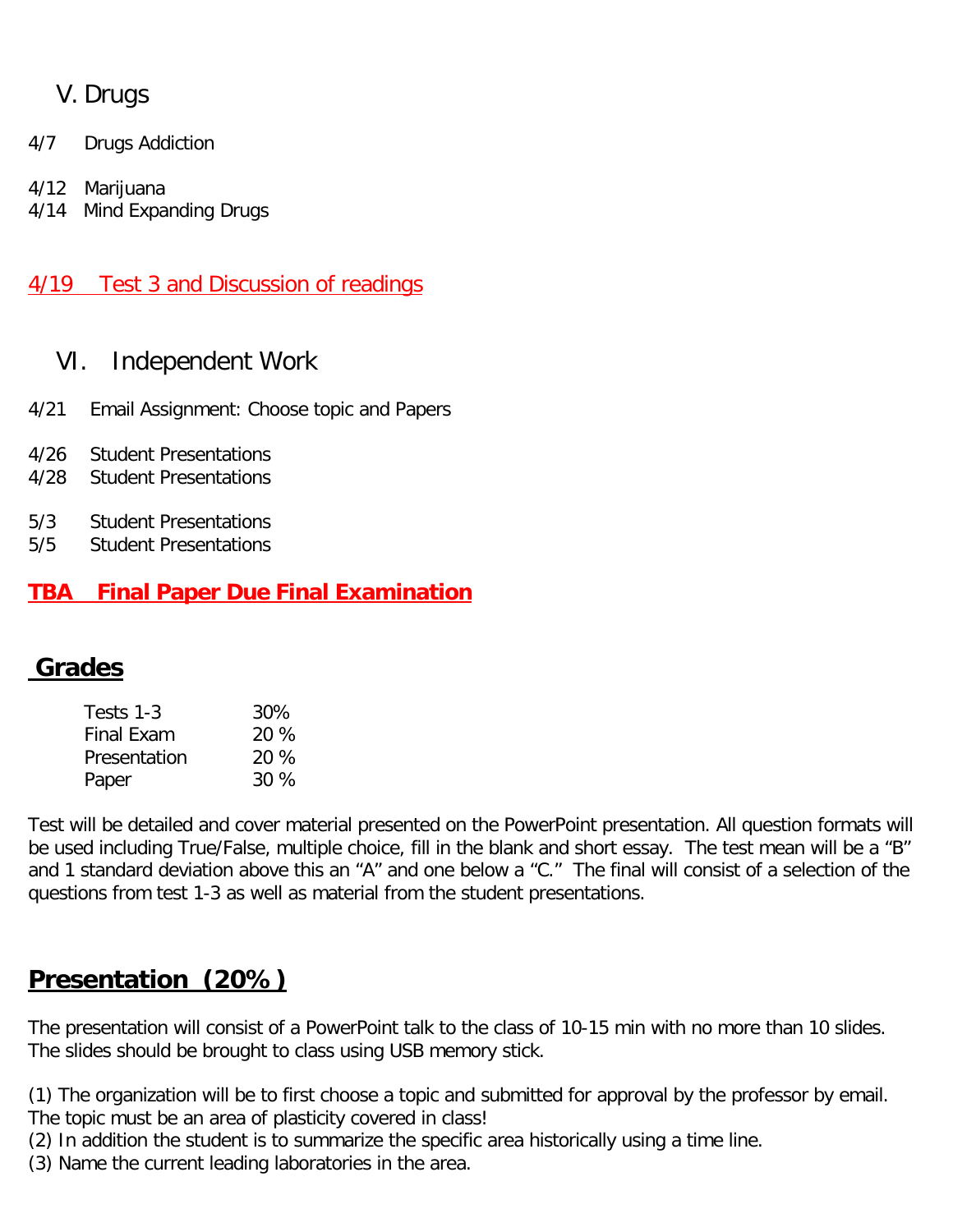## V. Drugs

- 4/7 Drugs Addiction
- 4/12 Marijuana
- 4/14 Mind Expanding Drugs

#### 4/19 Test 3 and Discussion of readings

## VI. Independent Work

- 4/21 Email Assignment: Choose topic and Papers
- 4/26 Student Presentations
- 4/28 Student Presentations
- 5/3 Student Presentations
- 5/5 Student Presentations

#### **TBA Final Paper Due Final Examination**

# **Grades**

| Tests 1-3         | 30%    |
|-------------------|--------|
| <b>Final Exam</b> | 20 %   |
| Presentation      | 20 %   |
| Paper             | $30\%$ |

Test will be detailed and cover material presented on the PowerPoint presentation. All question formats will be used including True/False, multiple choice, fill in the blank and short essay. The test mean will be a "B" and 1 standard deviation above this an "A" and one below a "C." The final will consist of a selection of the questions from test 1-3 as well as material from the student presentations.

# **Presentation (20%)**

The presentation will consist of a PowerPoint talk to the class of 10-15 min with no more than 10 slides. The slides should be brought to class using USB memory stick.

(1) The organization will be to first choose a topic and submitted for approval by the professor by email. The topic must be an area of plasticity covered in class!

- (2) In addition the student is to summarize the specific area historically using a time line.
- (3) Name the current leading laboratories in the area.